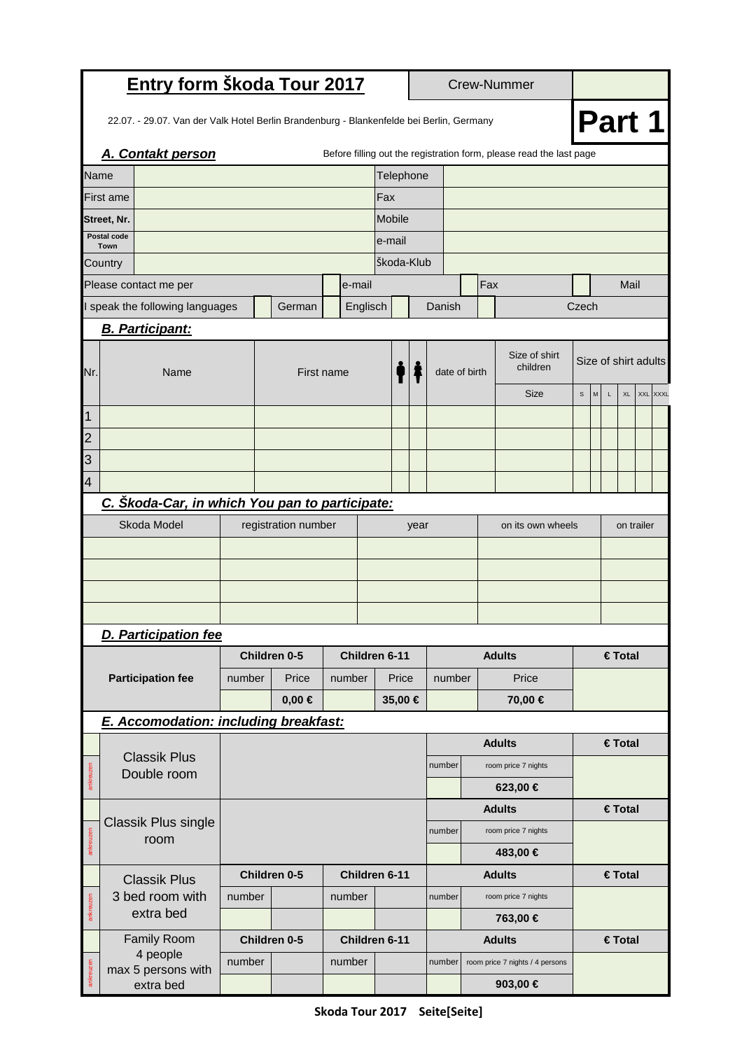| Entry form Škoda Tour 2017               |                                                                                                    |                                                |        |                     |            | <b>Crew-Nummer</b> |            |        |                     |                     |               |             |                                 |              |                                                          |  |                |            |  |
|------------------------------------------|----------------------------------------------------------------------------------------------------|------------------------------------------------|--------|---------------------|------------|--------------------|------------|--------|---------------------|---------------------|---------------|-------------|---------------------------------|--------------|----------------------------------------------------------|--|----------------|------------|--|
|                                          | Part 1<br>22.07. - 29.07. Van der Valk Hotel Berlin Brandenburg - Blankenfelde bei Berlin, Germany |                                                |        |                     |            |                    |            |        |                     |                     |               |             |                                 |              |                                                          |  |                |            |  |
|                                          | A. Contakt person<br>Before filling out the registration form, please read the last page           |                                                |        |                     |            |                    |            |        |                     |                     |               |             |                                 |              |                                                          |  |                |            |  |
| Name                                     |                                                                                                    |                                                |        |                     |            |                    | Telephone  |        |                     |                     |               |             |                                 |              |                                                          |  |                |            |  |
|                                          | First ame                                                                                          |                                                |        |                     |            |                    | Fax        |        |                     |                     |               |             |                                 |              |                                                          |  |                |            |  |
|                                          | Street, Nr.                                                                                        |                                                |        |                     |            |                    | Mobile     |        |                     |                     |               |             |                                 |              |                                                          |  |                |            |  |
|                                          | Postal code<br>Town                                                                                |                                                |        |                     |            |                    | e-mail     |        |                     |                     |               |             |                                 |              |                                                          |  |                |            |  |
|                                          | Country                                                                                            |                                                |        |                     |            |                    | Škoda-Klub |        |                     |                     |               |             |                                 |              |                                                          |  |                |            |  |
|                                          |                                                                                                    | Please contact me per                          |        |                     |            | e-mail             |            |        |                     |                     |               | Fax         |                                 |              | Mail                                                     |  |                |            |  |
|                                          |                                                                                                    | speak the following languages                  |        | German              |            | Englisch           |            |        | Danish              |                     |               |             |                                 | Czech        |                                                          |  |                |            |  |
|                                          |                                                                                                    | <b>B. Participant:</b>                         |        |                     |            |                    |            |        |                     |                     |               |             |                                 |              |                                                          |  |                |            |  |
| Nr.                                      |                                                                                                    | Name                                           |        |                     | First name |                    |            |        |                     |                     | date of birth |             | Size of shirt<br>children       |              | Size of shirt adults<br>${\sf M}$<br>XL<br>XXL XXXL<br>L |  |                |            |  |
|                                          |                                                                                                    |                                                |        |                     |            |                    |            |        |                     |                     |               | <b>Size</b> |                                 | $\mathsf{s}$ |                                                          |  |                |            |  |
| 1                                        |                                                                                                    |                                                |        |                     |            |                    |            |        |                     |                     |               |             |                                 |              |                                                          |  |                |            |  |
| $\overline{c}$                           |                                                                                                    |                                                |        |                     |            |                    |            |        |                     |                     |               |             |                                 |              |                                                          |  |                |            |  |
| 3                                        |                                                                                                    |                                                |        |                     |            |                    |            |        |                     |                     |               |             |                                 |              |                                                          |  |                |            |  |
| $\overline{4}$                           |                                                                                                    |                                                |        |                     |            |                    |            |        |                     |                     |               |             |                                 |              |                                                          |  |                |            |  |
|                                          |                                                                                                    | C. Skoda-Car, in which You pan to participate: |        |                     |            |                    |            |        |                     |                     |               |             |                                 |              |                                                          |  |                |            |  |
|                                          |                                                                                                    | Skoda Model                                    |        | registration number |            |                    |            | year   |                     |                     |               |             | on its own wheels               |              |                                                          |  |                | on trailer |  |
|                                          |                                                                                                    |                                                |        |                     |            |                    |            |        |                     |                     |               |             |                                 |              |                                                          |  |                |            |  |
|                                          |                                                                                                    |                                                |        |                     |            |                    |            |        |                     |                     |               |             |                                 |              |                                                          |  |                |            |  |
|                                          |                                                                                                    |                                                |        |                     |            |                    |            |        |                     |                     |               |             |                                 |              |                                                          |  |                |            |  |
|                                          |                                                                                                    |                                                |        |                     |            |                    |            |        |                     |                     |               |             |                                 |              |                                                          |  |                |            |  |
|                                          |                                                                                                    | <b>D. Participation fee</b>                    |        |                     |            |                    |            |        |                     |                     |               |             |                                 |              |                                                          |  |                |            |  |
|                                          |                                                                                                    |                                                |        | Children 0-5        |            | Children 6-11      |            |        |                     |                     |               |             | <b>Adults</b>                   |              |                                                          |  | € Total        |            |  |
|                                          | <b>Participation fee</b><br>number<br>Price                                                        |                                                | number |                     | Price      |                    |            | number |                     | Price               |               |             |                                 |              |                                                          |  |                |            |  |
|                                          |                                                                                                    |                                                |        | $0,00 \in$          |            |                    | 35,00 €    |        |                     |                     |               |             | 70,00 €                         |              |                                                          |  |                |            |  |
|                                          |                                                                                                    | <b>E. Accomodation: including breakfast:</b>   |        |                     |            |                    |            |        |                     |                     |               |             |                                 |              |                                                          |  |                |            |  |
|                                          |                                                                                                    |                                                |        |                     |            |                    |            |        |                     |                     |               |             | <b>Adults</b>                   |              |                                                          |  | € Total        |            |  |
|                                          |                                                                                                    | <b>Classik Plus</b>                            |        |                     |            |                    |            |        | number              |                     |               |             | room price 7 nights             |              |                                                          |  |                |            |  |
| ankreuzen                                |                                                                                                    | Double room                                    |        |                     |            |                    |            |        |                     |                     |               |             | 623,00 €                        |              |                                                          |  |                |            |  |
|                                          |                                                                                                    |                                                |        |                     |            |                    |            |        | <b>Adults</b>       |                     | € Total       |             |                                 |              |                                                          |  |                |            |  |
| Classik Plus single<br>ankreuzen<br>room |                                                                                                    |                                                |        |                     |            |                    |            | number | room price 7 nights |                     |               |             |                                 |              |                                                          |  |                |            |  |
|                                          |                                                                                                    |                                                |        |                     |            |                    |            |        | 483,00 €            |                     |               |             |                                 |              |                                                          |  |                |            |  |
|                                          |                                                                                                    |                                                |        | Children 0-5        |            | Children 6-11      |            |        |                     |                     |               |             | <b>Adults</b>                   |              |                                                          |  | <b>€ Total</b> |            |  |
| <b>Classik Plus</b><br>3 bed room with   |                                                                                                    | number                                         |        | number              |            |                    |            | number |                     | room price 7 nights |               |             |                                 |              |                                                          |  |                |            |  |
| ankreuzen<br>extra bed                   |                                                                                                    |                                                |        |                     |            |                    |            |        |                     |                     |               | 763,00 €    |                                 |              |                                                          |  |                |            |  |
|                                          |                                                                                                    | Family Room                                    |        | Children 0-5        |            | Children 6-11      |            |        |                     |                     |               |             | <b>Adults</b>                   | € Total      |                                                          |  |                |            |  |
| 4 people                                 |                                                                                                    |                                                | number |                     | number     |                    |            |        | number              |                     |               |             | room price 7 nights / 4 persons |              |                                                          |  |                |            |  |
| ankreuzen                                |                                                                                                    | max 5 persons with<br>extra bed                |        |                     |            |                    |            |        |                     |                     |               |             | 903,00 €                        |              |                                                          |  |                |            |  |
|                                          |                                                                                                    |                                                |        |                     |            |                    |            |        |                     |                     |               |             |                                 |              |                                                          |  |                |            |  |

**Skoda Tour 2017 Seite[Seite]**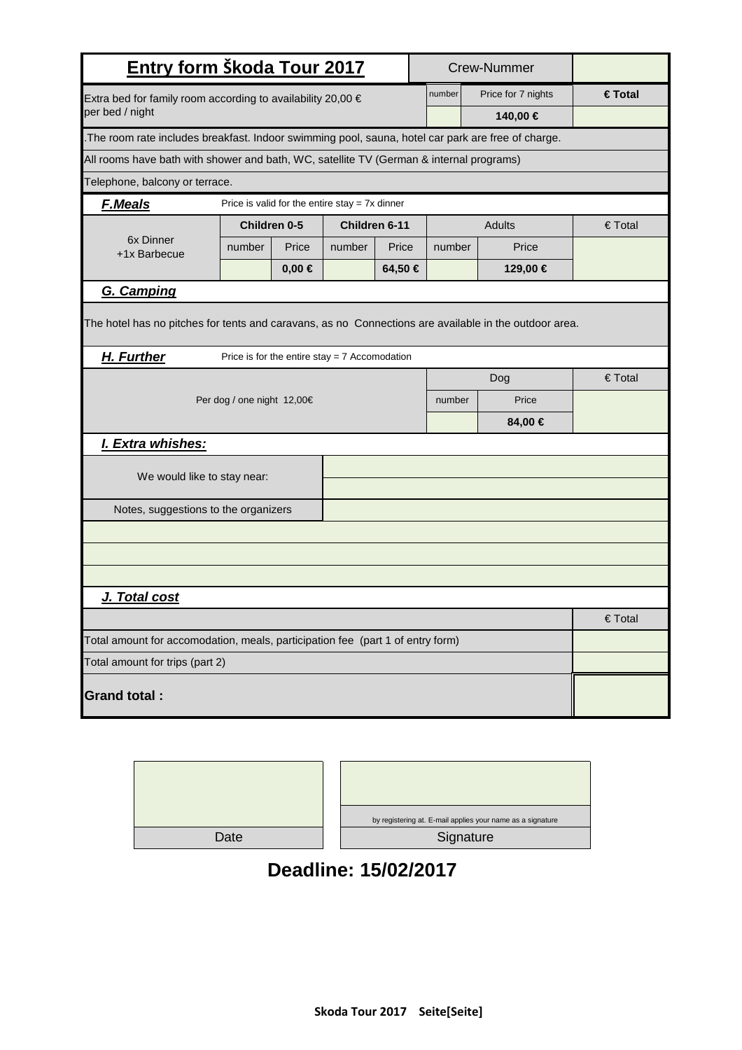| <u>Entry form Škoda Tour 2017</u><br><b>Crew-Nummer</b>                                              |                                                                                                       |            |               |         |        |                  |                  |                  |
|------------------------------------------------------------------------------------------------------|-------------------------------------------------------------------------------------------------------|------------|---------------|---------|--------|------------------|------------------|------------------|
| Price for 7 nights<br>number<br>Extra bed for family room according to availability 20,00 $\epsilon$ |                                                                                                       |            |               |         |        |                  | € Total          |                  |
| per bed / night<br>140,00 €                                                                          |                                                                                                       |            |               |         |        |                  |                  |                  |
| . The room rate includes breakfast. Indoor swimming pool, sauna, hotel car park are free of charge.  |                                                                                                       |            |               |         |        |                  |                  |                  |
| All rooms have bath with shower and bath, WC, satellite TV (German & internal programs)              |                                                                                                       |            |               |         |        |                  |                  |                  |
|                                                                                                      | Telephone, balcony or terrace.                                                                        |            |               |         |        |                  |                  |                  |
| <b>F.Meals</b>                                                                                       | Price is valid for the entire stay = $7x$ dinner                                                      |            |               |         |        |                  |                  |                  |
|                                                                                                      | Children 0-5                                                                                          |            | Children 6-11 |         |        |                  | Adults           | $\epsilon$ Total |
| 6x Dinner<br>+1x Barbecue                                                                            | number                                                                                                | Price      | number        | Price   | number |                  | Price            |                  |
|                                                                                                      |                                                                                                       | $0,00 \in$ |               | 64,50 € |        |                  | 129,00 €         |                  |
| G. Camping                                                                                           |                                                                                                       |            |               |         |        |                  |                  |                  |
|                                                                                                      | The hotel has no pitches for tents and caravans, as no Connections are available in the outdoor area. |            |               |         |        |                  |                  |                  |
| H. Further<br>Price is for the entire stay = $7$ Accomodation                                        |                                                                                                       |            |               |         |        |                  | $\epsilon$ Total |                  |
| Dog<br>Per dog / one night 12,00€                                                                    |                                                                                                       |            |               |         |        |                  |                  |                  |
|                                                                                                      |                                                                                                       |            |               |         | number |                  | Price<br>84,00 € |                  |
| I. Extra whishes:                                                                                    |                                                                                                       |            |               |         |        |                  |                  |                  |
| We would like to stay near:                                                                          |                                                                                                       |            |               |         |        |                  |                  |                  |
| Notes, suggestions to the organizers                                                                 |                                                                                                       |            |               |         |        |                  |                  |                  |
|                                                                                                      |                                                                                                       |            |               |         |        |                  |                  |                  |
|                                                                                                      |                                                                                                       |            |               |         |        |                  |                  |                  |
|                                                                                                      |                                                                                                       |            |               |         |        |                  |                  |                  |
| J. Total cost                                                                                        |                                                                                                       |            |               |         |        |                  |                  |                  |
|                                                                                                      |                                                                                                       |            |               |         |        | $\epsilon$ Total |                  |                  |
| Total amount for accomodation, meals, participation fee (part 1 of entry form)                       |                                                                                                       |            |               |         |        |                  |                  |                  |
| Total amount for trips (part 2)                                                                      |                                                                                                       |            |               |         |        |                  |                  |                  |
| <b>Grand total:</b>                                                                                  |                                                                                                       |            |               |         |        |                  |                  |                  |

|      | by registering at. E-mail applies your name as a signature |
|------|------------------------------------------------------------|
| Date | Signature                                                  |

## **Deadline: 15/02/2017**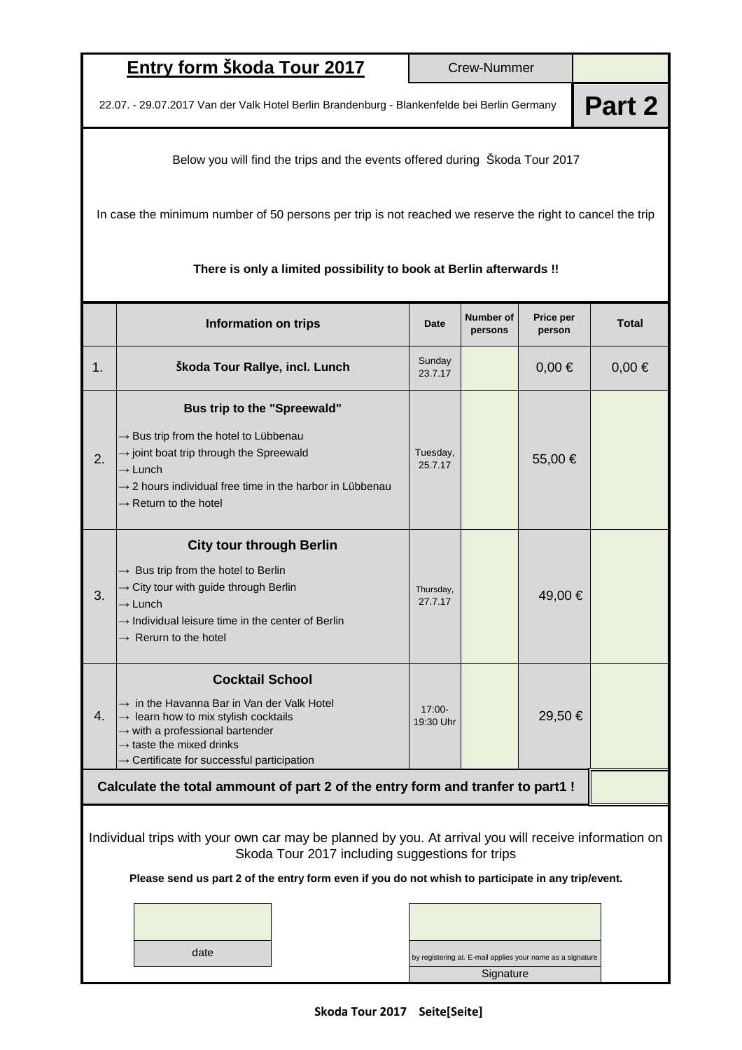# **Entry form Škoda Tour 2017** Crew-Nummer

22.07. - 29.07.2017 Van der Valk Hotel Berlin Brandenburg - Blankenfelde bei Berlin Germany

**Part 2**

Below you will find the trips and the events offered during Škoda Tour 2017

In case the minimum number of 50 persons per trip is not reached we reserve the right to cancel the trip

|                                                                                                                                                                                                                                                               | <b>Information on trips</b>                                                                                                                                                                                                                                                           | <b>Date</b>            | Number of<br>persons | Price per<br>person | <b>Total</b> |  |
|---------------------------------------------------------------------------------------------------------------------------------------------------------------------------------------------------------------------------------------------------------------|---------------------------------------------------------------------------------------------------------------------------------------------------------------------------------------------------------------------------------------------------------------------------------------|------------------------|----------------------|---------------------|--------------|--|
| 1 <sub>1</sub>                                                                                                                                                                                                                                                | Škoda Tour Rallye, incl. Lunch                                                                                                                                                                                                                                                        | Sunday<br>23.7.17      |                      | $0,00 \in$          | $0,00 \in$   |  |
| 2.                                                                                                                                                                                                                                                            | Bus trip to the "Spreewald"<br>$\rightarrow$ Bus trip from the hotel to Lübbenau<br>$\rightarrow$ joint boat trip through the Spreewald<br>$\rightarrow$ Lunch<br>$\rightarrow$ 2 hours individual free time in the harbor in Lübbenau<br>$\rightarrow$ Return to the hotel           | Tuesday,<br>25.7.17    |                      | 55,00 €             |              |  |
| 3.                                                                                                                                                                                                                                                            | <b>City tour through Berlin</b><br>$\rightarrow$ Bus trip from the hotel to Berlin<br>$\rightarrow$ City tour with guide through Berlin<br>$\rightarrow$ Lunch<br>$\rightarrow$ Individual leisure time in the center of Berlin<br>$\rightarrow$ Rerurn to the hotel                  | Thursday,<br>27.7.17   |                      | 49,00 €             |              |  |
| 4.                                                                                                                                                                                                                                                            | <b>Cocktail School</b><br>$\rightarrow$ in the Havanna Bar in Van der Valk Hotel<br>$\rightarrow$ learn how to mix stylish cocktails<br>$\rightarrow$ with a professional bartender<br>$\rightarrow$ taste the mixed drinks<br>$\rightarrow$ Certificate for successful participation | $17:00 -$<br>19:30 Uhr |                      | 29,50 €             |              |  |
| Calculate the total ammount of part 2 of the entry form and tranfer to part1!                                                                                                                                                                                 |                                                                                                                                                                                                                                                                                       |                        |                      |                     |              |  |
| Individual trips with your own car may be planned by you. At arrival you will receive information on<br>Skoda Tour 2017 including suggestions for trips<br>Please send us part 2 of the entry form even if you do not whish to participate in any trip/event. |                                                                                                                                                                                                                                                                                       |                        |                      |                     |              |  |
|                                                                                                                                                                                                                                                               |                                                                                                                                                                                                                                                                                       |                        |                      |                     |              |  |

## **There is only a limited possibility to book at Berlin afterwards !!**

date

| by registering at. E-mail applies your name as a signature |  |  |  |  |  |  |
|------------------------------------------------------------|--|--|--|--|--|--|
| Signature                                                  |  |  |  |  |  |  |